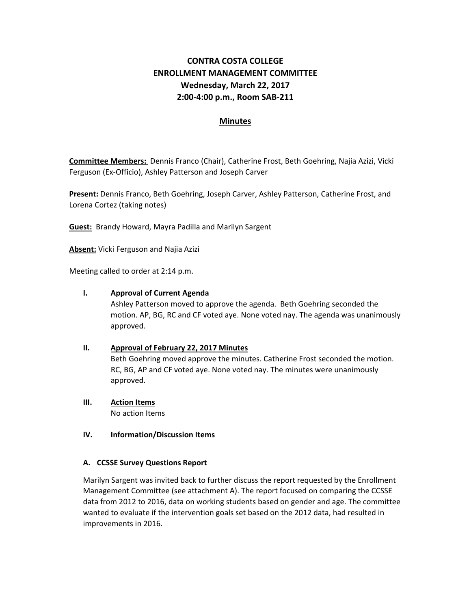## **CONTRA COSTA COLLEGE ENROLLMENT MANAGEMENT COMMITTEE Wednesday, March 22, 2017 2:00‐4:00 p.m., Room SAB‐211**

## **Minutes**

**Committee Members:** Dennis Franco (Chair), Catherine Frost, Beth Goehring, Najia Azizi, Vicki Ferguson (Ex‐Officio), Ashley Patterson and Joseph Carver

**Present:** Dennis Franco, Beth Goehring, Joseph Carver, Ashley Patterson, Catherine Frost, and Lorena Cortez (taking notes)

**Guest:** Brandy Howard, Mayra Padilla and Marilyn Sargent

**Absent:** Vicki Ferguson and Najia Azizi

Meeting called to order at 2:14 p.m.

#### **I. Approval of Current Agenda**

Ashley Patterson moved to approve the agenda. Beth Goehring seconded the motion. AP, BG, RC and CF voted aye. None voted nay. The agenda was unanimously approved.

#### **II. Approval of February 22, 2017 Minutes**

Beth Goehring moved approve the minutes. Catherine Frost seconded the motion. RC, BG, AP and CF voted aye. None voted nay. The minutes were unanimously approved.

**III. Action Items** No action Items

#### **IV. Information/Discussion Items**

#### **A. CCSSE Survey Questions Report**

Marilyn Sargent was invited back to further discuss the report requested by the Enrollment Management Committee (see attachment A). The report focused on comparing the CCSSE data from 2012 to 2016, data on working students based on gender and age. The committee wanted to evaluate if the intervention goals set based on the 2012 data, had resulted in improvements in 2016.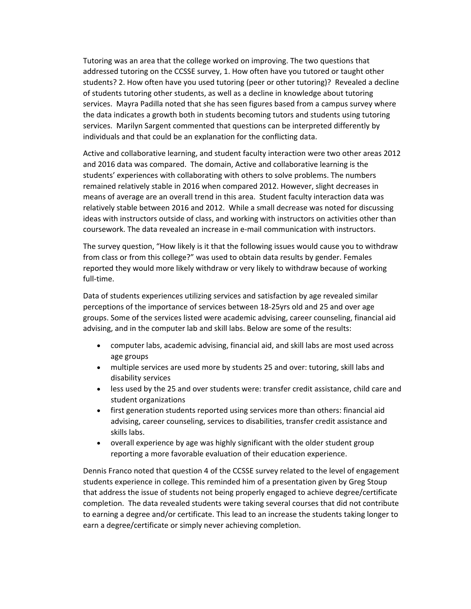Tutoring was an area that the college worked on improving. The two questions that addressed tutoring on the CCSSE survey, 1. How often have you tutored or taught other students? 2. How often have you used tutoring (peer or other tutoring)? Revealed a decline of students tutoring other students, as well as a decline in knowledge about tutoring services. Mayra Padilla noted that she has seen figures based from a campus survey where the data indicates a growth both in students becoming tutors and students using tutoring services. Marilyn Sargent commented that questions can be interpreted differently by individuals and that could be an explanation for the conflicting data.

Active and collaborative learning, and student faculty interaction were two other areas 2012 and 2016 data was compared. The domain, Active and collaborative learning is the students' experiences with collaborating with others to solve problems. The numbers remained relatively stable in 2016 when compared 2012. However, slight decreases in means of average are an overall trend in this area. Student faculty interaction data was relatively stable between 2016 and 2012. While a small decrease was noted for discussing ideas with instructors outside of class, and working with instructors on activities other than coursework. The data revealed an increase in e‐mail communication with instructors.

The survey question, "How likely is it that the following issues would cause you to withdraw from class or from this college?" was used to obtain data results by gender. Females reported they would more likely withdraw or very likely to withdraw because of working full-time.

Data of students experiences utilizing services and satisfaction by age revealed similar perceptions of the importance of services between 18‐25yrs old and 25 and over age groups. Some of the services listed were academic advising, career counseling, financial aid advising, and in the computer lab and skill labs. Below are some of the results:

- computer labs, academic advising, financial aid, and skill labs are most used across age groups
- multiple services are used more by students 25 and over: tutoring, skill labs and disability services
- less used by the 25 and over students were: transfer credit assistance, child care and student organizations
- first generation students reported using services more than others: financial aid advising, career counseling, services to disabilities, transfer credit assistance and skills labs.
- overall experience by age was highly significant with the older student group reporting a more favorable evaluation of their education experience.

Dennis Franco noted that question 4 of the CCSSE survey related to the level of engagement students experience in college. This reminded him of a presentation given by Greg Stoup that address the issue of students not being properly engaged to achieve degree/certificate completion. The data revealed students were taking several courses that did not contribute to earning a degree and/or certificate. This lead to an increase the students taking longer to earn a degree/certificate or simply never achieving completion.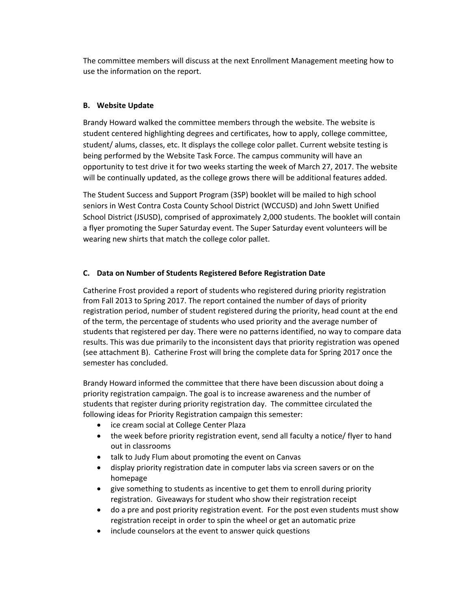The committee members will discuss at the next Enrollment Management meeting how to use the information on the report.

## **B. Website Update**

Brandy Howard walked the committee members through the website. The website is student centered highlighting degrees and certificates, how to apply, college committee, student/ alums, classes, etc. It displays the college color pallet. Current website testing is being performed by the Website Task Force. The campus community will have an opportunity to test drive it for two weeks starting the week of March 27, 2017. The website will be continually updated, as the college grows there will be additional features added.

The Student Success and Support Program (3SP) booklet will be mailed to high school seniors in West Contra Costa County School District (WCCUSD) and John Swett Unified School District (JSUSD), comprised of approximately 2,000 students. The booklet will contain a flyer promoting the Super Saturday event. The Super Saturday event volunteers will be wearing new shirts that match the college color pallet.

### **C. Data on Number of Students Registered Before Registration Date**

Catherine Frost provided a report of students who registered during priority registration from Fall 2013 to Spring 2017. The report contained the number of days of priority registration period, number of student registered during the priority, head count at the end of the term, the percentage of students who used priority and the average number of students that registered per day. There were no patterns identified, no way to compare data results. This was due primarily to the inconsistent days that priority registration was opened (see attachment B). Catherine Frost will bring the complete data for Spring 2017 once the semester has concluded.

Brandy Howard informed the committee that there have been discussion about doing a priority registration campaign. The goal is to increase awareness and the number of students that register during priority registration day. The committee circulated the following ideas for Priority Registration campaign this semester:

- ice cream social at College Center Plaza
- the week before priority registration event, send all faculty a notice/ flyer to hand out in classrooms
- talk to Judy Flum about promoting the event on Canvas
- display priority registration date in computer labs via screen savers or on the homepage
- give something to students as incentive to get them to enroll during priority registration. Giveaways for student who show their registration receipt
- do a pre and post priority registration event. For the post even students must show registration receipt in order to spin the wheel or get an automatic prize
- include counselors at the event to answer quick questions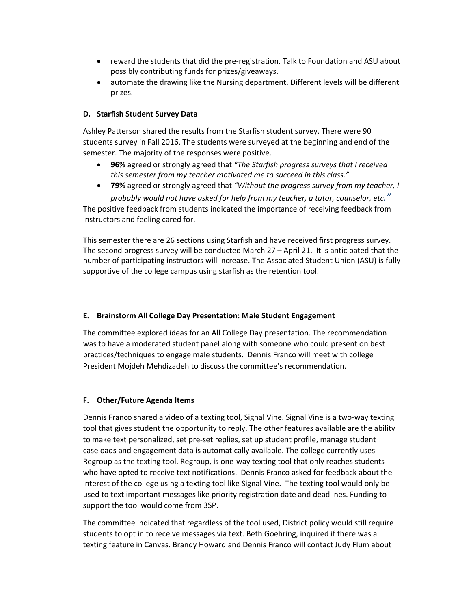- reward the students that did the pre‐registration. Talk to Foundation and ASU about possibly contributing funds for prizes/giveaways.
- automate the drawing like the Nursing department. Different levels will be different prizes.

#### **D. Starfish Student Survey Data**

Ashley Patterson shared the results from the Starfish student survey. There were 90 students survey in Fall 2016. The students were surveyed at the beginning and end of the semester. The majority of the responses were positive.

- **96%** agreed or strongly agreed that *"The Starfish progress surveys that I received this semester from my teacher motivated me to succeed in this class."*
- **79%** agreed or strongly agreed that *"Without the progress survey from my teacher, I probably would not have asked for help from my teacher, a tutor, counselor, etc."*

The positive feedback from students indicated the importance of receiving feedback from instructors and feeling cared for.

This semester there are 26 sections using Starfish and have received first progress survey. The second progress survey will be conducted March 27 – April 21. It is anticipated that the number of participating instructors will increase. The Associated Student Union (ASU) is fully supportive of the college campus using starfish as the retention tool.

#### **E. Brainstorm All College Day Presentation: Male Student Engagement**

The committee explored ideas for an All College Day presentation. The recommendation was to have a moderated student panel along with someone who could present on best practices/techniques to engage male students. Dennis Franco will meet with college President Mojdeh Mehdizadeh to discuss the committee's recommendation.

#### **F. Other/Future Agenda Items**

Dennis Franco shared a video of a texting tool, Signal Vine. Signal Vine is a two‐way texting tool that gives student the opportunity to reply. The other features available are the ability to make text personalized, set pre‐set replies, set up student profile, manage student caseloads and engagement data is automatically available. The college currently uses Regroup as the texting tool. Regroup, is one‐way texting tool that only reaches students who have opted to receive text notifications. Dennis Franco asked for feedback about the interest of the college using a texting tool like Signal Vine. The texting tool would only be used to text important messages like priority registration date and deadlines. Funding to support the tool would come from 3SP.

The committee indicated that regardless of the tool used, District policy would still require students to opt in to receive messages via text. Beth Goehring, inquired if there was a texting feature in Canvas. Brandy Howard and Dennis Franco will contact Judy Flum about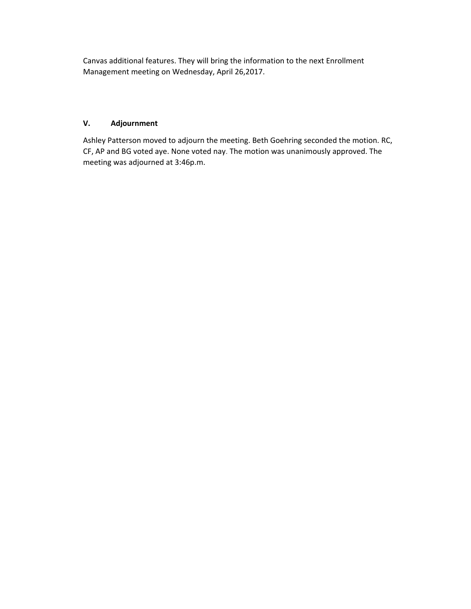Canvas additional features. They will bring the information to the next Enrollment Management meeting on Wednesday, April 26,2017.

## **V. Adjournment**

Ashley Patterson moved to adjourn the meeting. Beth Goehring seconded the motion. RC, CF, AP and BG voted aye. None voted nay. The motion was unanimously approved. The meeting was adjourned at 3:46p.m.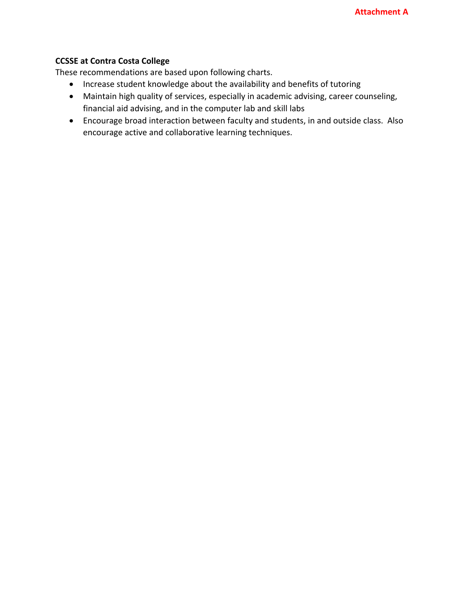## **CCSSE at Contra Costa College**

These recommendations are based upon following charts.

- Increase student knowledge about the availability and benefits of tutoring
- Maintain high quality of services, especially in academic advising, career counseling, financial aid advising, and in the computer lab and skill labs
- Encourage broad interaction between faculty and students, in and outside class. Also encourage active and collaborative learning techniques.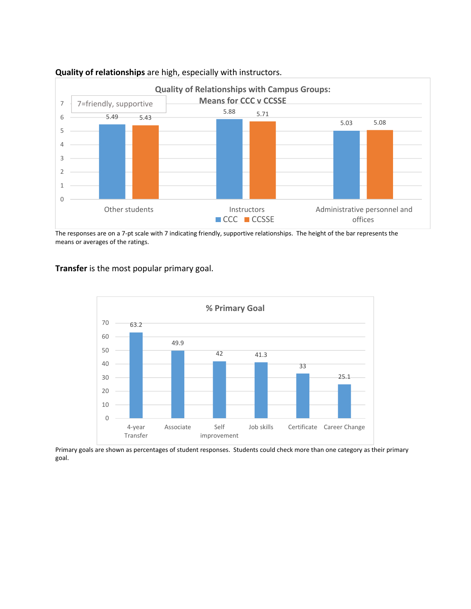

#### **Quality of relationships** are high, especially with instructors.

The responses are on a 7‐pt scale with 7 indicating friendly, supportive relationships. The height of the bar represents the means or averages of the ratings.

**Transfer** is the most popular primary goal.



Primary goals are shown as percentages of student responses. Students could check more than one category as their primary goal.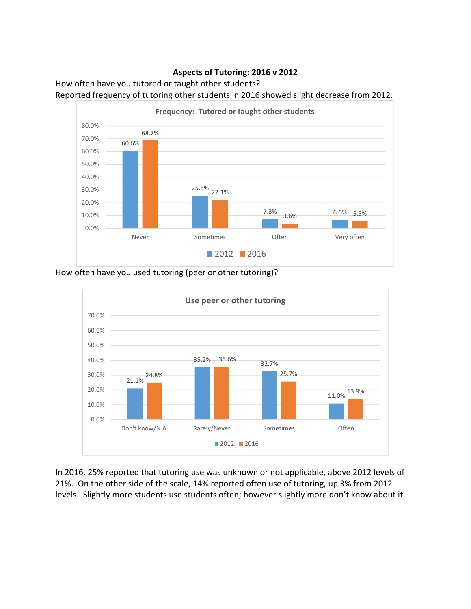## **Aspects of Tutoring: 2016 v 2012**

How often have you tutored or taught other students? Reported frequency of tutoring other students in 2016 showed slight decrease from 2012.



How often have you used tutoring (peer or other tutoring)?



In 2016, 25% reported that tutoring use was unknown or not applicable, above 2012 levels of 21%. On the other side of the scale, 14% reported often use of tutoring, up 3% from 2012 levels. Slightly more students use students often; however slightly more don't know about it.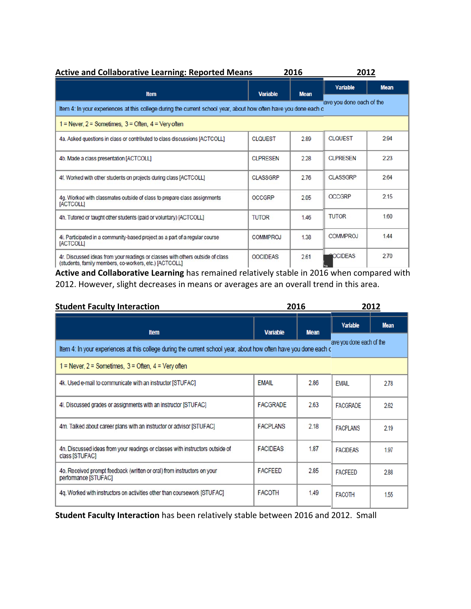| <b>Active and Collaborative Learning: Reported Means</b><br>2016                                                                             |                 |             |                      | 2012        |  |  |  |  |
|----------------------------------------------------------------------------------------------------------------------------------------------|-----------------|-------------|----------------------|-------------|--|--|--|--|
| <b>Item</b>                                                                                                                                  | <b>Variable</b> | <b>Mean</b> | <b>Variable</b>      | <b>Mean</b> |  |  |  |  |
| ave you done each of the<br>Item 4: In your experiences at this college during the current school year, about how often have you done each c |                 |             |                      |             |  |  |  |  |
| $1 =$ Never, $2 =$ Sometimes, $3 =$ Often, $4 =$ Very often                                                                                  |                 |             |                      |             |  |  |  |  |
| 4a. Asked questions in class or contributed to class discussions [ACTCOLL]                                                                   | <b>CLOUEST</b>  | 2.89        | <b>CLOUEST</b>       | 2.94        |  |  |  |  |
| 4b. Made a class presentation [ACTCOLL]                                                                                                      | <b>CLPRESEN</b> | 2.28        | <b>CLPRESEN</b>      | 2.23        |  |  |  |  |
| 4f. Worked with other students on projects during class [ACTCOLL]                                                                            | <b>CLASSGRP</b> | 2.76        | <b>CLASSGRP</b>      | 2.64        |  |  |  |  |
| 4g. Worked with classmates outside of class to prepare class assignments<br>[ACTCOLL]                                                        | <b>OCCGRP</b>   | 2.05        | <b>OCCGRP</b>        | 2.15        |  |  |  |  |
| 4h. Tutored or taught other students (paid or voluntary) [ACTCOLL]                                                                           | <b>TUTOR</b>    | 1.46        | <b>TUTOR</b>         | 1.60        |  |  |  |  |
| 4i. Participated in a community-based project as a part of a regular course<br>[ACTCOLL]                                                     | <b>COMMPROJ</b> | 1.38        | <b>COMMPROJ</b>      | 144         |  |  |  |  |
| 4r. Discussed ideas from your readings or classes with others outside of class<br>(students, family members, co-workers, etc.) [ACTCOLL]     | <b>OOCIDEAS</b> | 2.61        | <b>AOCIDEAS</b><br>- | 270         |  |  |  |  |

**Active and Collaborative Learning** has remained relatively stable in 2016 when compared with 2012. However, slight decreases in means or averages are an overall trend in this area.

| <b>Student Faculty Interaction</b>                                                                               | 2016                     |             | 2012            |             |
|------------------------------------------------------------------------------------------------------------------|--------------------------|-------------|-----------------|-------------|
| <b>Item</b>                                                                                                      | <b>Variable</b>          | <b>Mean</b> | <b>Variable</b> | <b>Mean</b> |
| Item 4: In your experiences at this college during the current school year, about how often have you done each c | ave you done each of the |             |                 |             |
| $1 =$ Never, $2 =$ Sometimes, $3 =$ Often, $4 =$ Very often                                                      |                          |             |                 |             |
| 4k. Used e-mail to communicate with an instructor [STUFAC]                                                       | <b>EMAIL</b>             | 2.86        | <b>EMAIL</b>    | 2.78        |
| 4I. Discussed grades or assignments with an instructor [STUFAC]                                                  | <b>FACGRADE</b>          | 2.63        | <b>FACGRADE</b> | 2.62        |
| 4m. Talked about career plans with an instructor or advisor [STUFAC]                                             | <b>FACPLANS</b>          | 2.18        | <b>FACPLANS</b> | 2.19        |
| 4n. Discussed ideas from your readings or classes with instructors outside of<br>class [STUFAC]                  | <b>FACIDEAS</b>          | 1.87        | <b>FACIDEAS</b> | 1.97        |
| 4o. Received prompt feedback (written or oral) from instructors on your<br>performance [STUFAC]                  | <b>FACFEED</b>           | 2.85        | <b>FACFEED</b>  | 288         |
| 4g. Worked with instructors on activities other than coursework [STUFAC]                                         | <b>FACOTH</b>            | 1.49        | <b>FACOTH</b>   | 1.55        |

**Student Faculty Interaction** has been relatively stable between 2016 and 2012. Small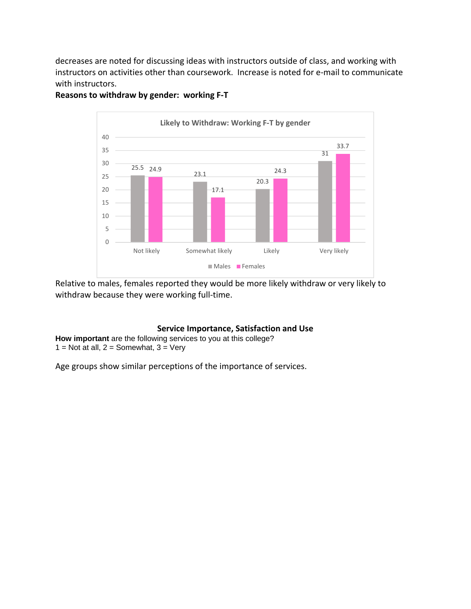decreases are noted for discussing ideas with instructors outside of class, and working with instructors on activities other than coursework. Increase is noted for e‐mail to communicate with instructors.



## **Reasons to withdraw by gender: working F‐T**

Relative to males, females reported they would be more likely withdraw or very likely to withdraw because they were working full-time.

#### **Service Importance, Satisfaction and Use**

**How important** are the following services to you at this college? 1 = Not at all,  $2 =$  Somewhat,  $3 =$  Very

Age groups show similar perceptions of the importance of services.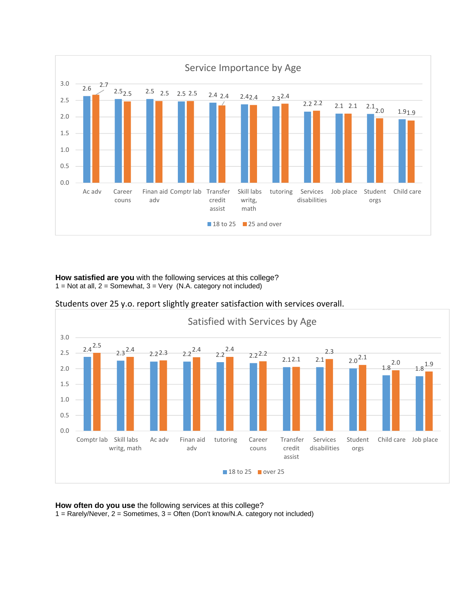

**How satisfied are you** with the following services at this college?  $1 = Not at all, 2 = Somewhat, 3 = Very (N.A. category not included)$ 



Students over 25 y.o. report slightly greater satisfaction with services overall.

**How often do you use** the following services at this college? 1 = Rarely/Never, 2 = Sometimes, 3 = Often (Don't know/N.A. category not included)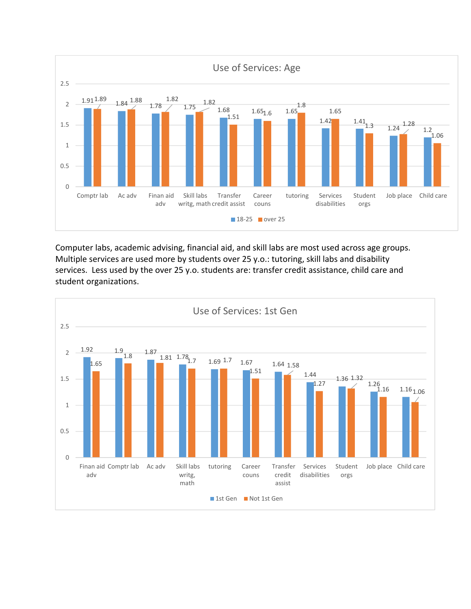

Computer labs, academic advising, financial aid, and skill labs are most used across age groups. Multiple services are used more by students over 25 y.o.: tutoring, skill labs and disability services. Less used by the over 25 y.o. students are: transfer credit assistance, child care and student organizations.

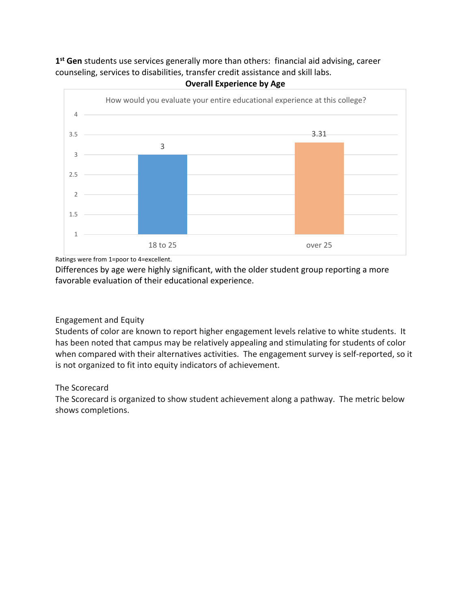**1st Gen** students use services generally more than others: financial aid advising, career counseling, services to disabilities, transfer credit assistance and skill labs.



**Overall Experience by Age**

Ratings were from 1=poor to 4=excellent.

Differences by age were highly significant, with the older student group reporting a more favorable evaluation of their educational experience.

## Engagement and Equity

Students of color are known to report higher engagement levels relative to white students. It has been noted that campus may be relatively appealing and stimulating for students of color when compared with their alternatives activities. The engagement survey is self-reported, so it is not organized to fit into equity indicators of achievement.

## The Scorecard

The Scorecard is organized to show student achievement along a pathway. The metric below shows completions.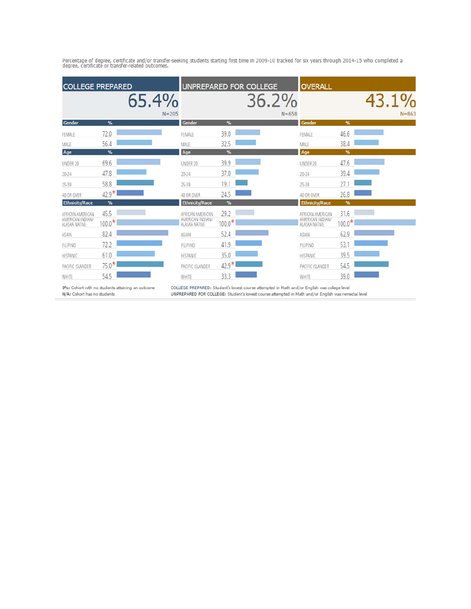|                                                       | <b>COLLEGE PREPARED</b> |                                                       |                  | UNPREPARED FOR COLLEGE | <b>OVERALL</b>                                        |                  |                    |
|-------------------------------------------------------|-------------------------|-------------------------------------------------------|------------------|------------------------|-------------------------------------------------------|------------------|--------------------|
|                                                       | 65.4%<br>$N = 205$      |                                                       |                  | 36.2%<br>$N = 658$     |                                                       |                  | 43.1%<br>$N = 863$ |
| Gender                                                | %                       | Gender                                                | %                |                        | Gender                                                | %                |                    |
| FEMALE                                                | 72.0                    | FEMALE                                                | 39.0             |                        | FEMALE                                                | 46.6             |                    |
| MALE                                                  | 56.4                    | MALE                                                  | 32.5             |                        | MALE                                                  | 38.4             |                    |
| Age                                                   | %                       | Age                                                   | %                |                        | Age                                                   | %                |                    |
| UNDER 20                                              | 69.6                    | UNDER 20                                              | 39.9             |                        | UNDER 20                                              | 47.6             |                    |
| $20 - 24$                                             | 47.8                    | $20 - 24$                                             | 37.0             |                        | 20-24                                                 | 39.4             |                    |
| 25-39                                                 | 58.8                    | 25-39                                                 | 19.              |                        | 25-39                                                 | 27.1             |                    |
| 40 OR OVER                                            | $42.9*$                 | 40 OR OVER                                            | 24.5             |                        | 40 OR OVER                                            | 26.8             |                    |
| <b>Ethnicity/Race</b>                                 | %                       | <b>Ethnicity/Race</b>                                 | %                |                        | <b>Ethnicity/Race</b>                                 | %                |                    |
| AFRICAN AMERICAN<br>AMERICAN INDIAN/<br>ALASKA NATIVE | 45.5<br>$100.0*$        | AFRICAN AMERICAN<br>AMERICAN INDIAN/<br>ALASKA NATIVE | 29.2<br>$100.0*$ |                        | AFRICAN AMERICAN<br>AMERICAN INDIAN/<br>ALASKA NATIVE | 31.6<br>$100.0*$ |                    |
| ASIAN                                                 | 82.4                    | <b>ASIAN</b>                                          | 52.4             |                        | ASIAN                                                 | 62.9             |                    |
| FILIPINO                                              | 72.2                    | FILIPINO                                              | 41.9             |                        | FILIPINO                                              | 53.1             |                    |
| <b>HISPANIC</b>                                       | 61.0                    | HISPANIC                                              | 35.0             |                        | <b>HISPANIC</b>                                       | 39.5             |                    |
| PACIFIC ISLANDER                                      | $75.0*$                 | PACIFIC ISLANDER                                      | $42.9*$          |                        | PACIFIC ISLANDER                                      | 54.5             |                    |
| <b>WHITE</b>                                          | 54.5                    | WHITE                                                 | 33.3             |                        | WHITE                                                 | 39.0             |                    |

Percentage of degree, certificate and/or transfer-seeking students starting first time in 2009-10 tracked for six years through 2014-15 who completed a<br>degree, certificate or transfer-related outcomes.

0%: Cohort with no students attaining an outcome N/A: Cohort has no students

COLLEGE PREPARED: Student's lowest course attempted in Math and/or English was college level<br>UNPREPARED FOR COLLEGE: Student's lowest course attempted in Math and/or English was remedial level